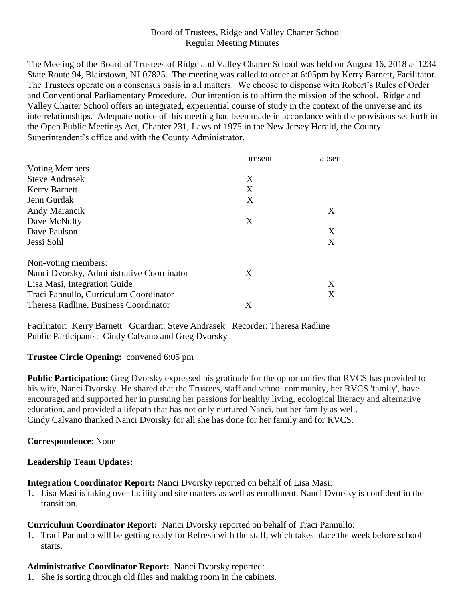# Board of Trustees, Ridge and Valley Charter School Regular Meeting Minutes

The Meeting of the Board of Trustees of Ridge and Valley Charter School was held on August 16, 2018 at 1234 State Route 94, Blairstown, NJ 07825. The meeting was called to order at 6:05pm by Kerry Barnett, Facilitator. The Trustees operate on a consensus basis in all matters. We choose to dispense with Robert's Rules of Order and Conventional Parliamentary Procedure. Our intention is to affirm the mission of the school. Ridge and Valley Charter School offers an integrated, experiential course of study in the context of the universe and its interrelationships. Adequate notice of this meeting had been made in accordance with the provisions set forth in the Open Public Meetings Act, Chapter 231, Laws of 1975 in the New Jersey Herald, the County Superintendent's office and with the County Administrator.

|                                           | present | absent |
|-------------------------------------------|---------|--------|
| <b>Voting Members</b>                     |         |        |
| <b>Steve Andrasek</b>                     | X       |        |
| <b>Kerry Barnett</b>                      | X       |        |
| Jenn Gurdak                               | X       |        |
| Andy Marancik                             |         | X      |
| Dave McNulty                              | X       |        |
| Dave Paulson                              |         | X      |
| Jessi Sohl                                |         | X      |
| Non-voting members:                       |         |        |
| Nanci Dvorsky, Administrative Coordinator | X       |        |
| Lisa Masi, Integration Guide              |         | X      |
| Traci Pannullo, Curriculum Coordinator    |         | Χ      |
| Theresa Radline, Business Coordinator     | X       |        |

Facilitator: Kerry Barnett Guardian: Steve Andrasek Recorder: Theresa Radline Public Participants: Cindy Calvano and Greg Dvorsky

## **Trustee Circle Opening:** convened 6:05 pm

**Public Participation:** Greg Dvorsky expressed his gratitude for the opportunities that RVCS has provided to his wife, Nanci Dvorsky. He shared that the Trustees, staff and school community, her RVCS 'family', have encouraged and supported her in pursuing her passions for healthy living, ecological literacy and alternative education, and provided a lifepath that has not only nurtured Nanci, but her family as well. Cindy Calvano thanked Nanci Dvorsky for all she has done for her family and for RVCS.

## **Correspondence**: None

## **Leadership Team Updates:**

**Integration Coordinator Report:** Nanci Dvorsky reported on behalf of Lisa Masi:

1. Lisa Masi is taking over facility and site matters as well as enrollment. Nanci Dvorsky is confident in the transition.

## **Curriculum Coordinator Report:** Nanci Dvorsky reported on behalf of Traci Pannullo:

1. Traci Pannullo will be getting ready for Refresh with the staff, which takes place the week before school starts.

## **Administrative Coordinator Report:** Nanci Dvorsky reported:

1. She is sorting through old files and making room in the cabinets.